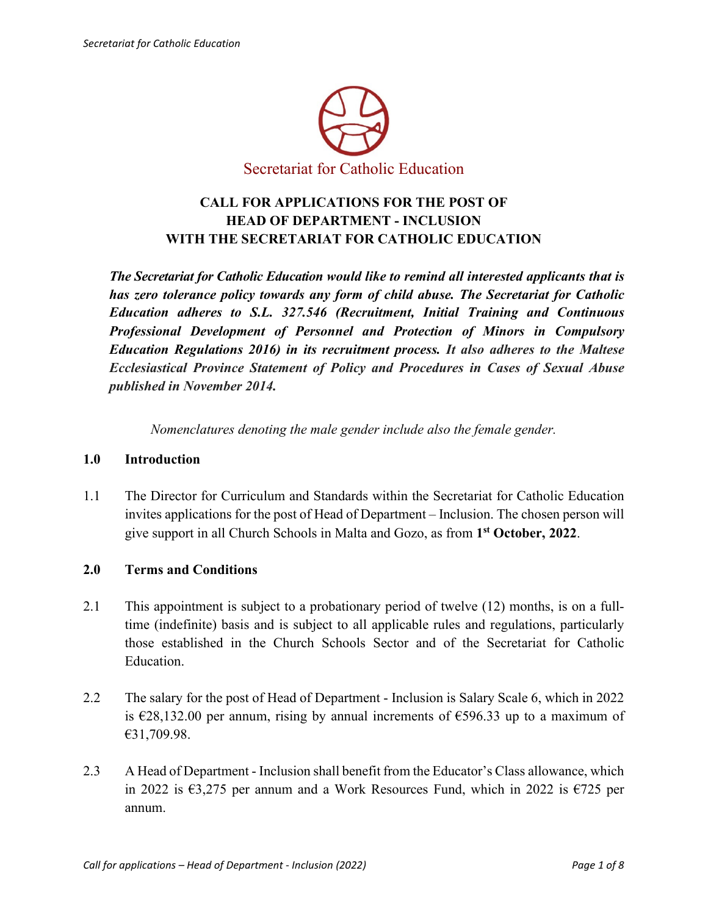

# **CALL FOR APPLICATIONS FOR THE POST OF HEAD OF DEPARTMENT - INCLUSION WITH THE SECRETARIAT FOR CATHOLIC EDUCATION**

*The Secretariat for Catholic Education would like to remind all interested applicants that is has zero tolerance policy towards any form of child abuse. The Secretariat for Catholic Education adheres to S.L. 327.546 (Recruitment, Initial Training and Continuous Professional Development of Personnel and Protection of Minors in Compulsory Education Regulations 2016) in its recruitment process. It also adheres to the Maltese Ecclesiastical Province Statement of Policy and Procedures in Cases of Sexual Abuse published in November 2014.*

*Nomenclatures denoting the male gender include also the female gender.*

#### **1.0 Introduction**

1.1 The Director for Curriculum and Standards within the Secretariat for Catholic Education invites applications for the post of Head of Department – Inclusion. The chosen person will give support in all Church Schools in Malta and Gozo, as from **1st October, 2022**.

## **2.0 Terms and Conditions**

- 2.1 This appointment is subject to a probationary period of twelve (12) months, is on a fulltime (indefinite) basis and is subject to all applicable rules and regulations, particularly those established in the Church Schools Sector and of the Secretariat for Catholic Education.
- 2.2 The salary for the post of Head of Department Inclusion is Salary Scale 6, which in 2022 is  $\epsilon$ 28,132.00 per annum, rising by annual increments of  $\epsilon$ 596.33 up to a maximum of €31,709.98.
- 2.3 A Head of Department Inclusion shall benefit from the Educator's Class allowance, which in 2022 is  $63,275$  per annum and a Work Resources Fund, which in 2022 is  $6725$  per annum.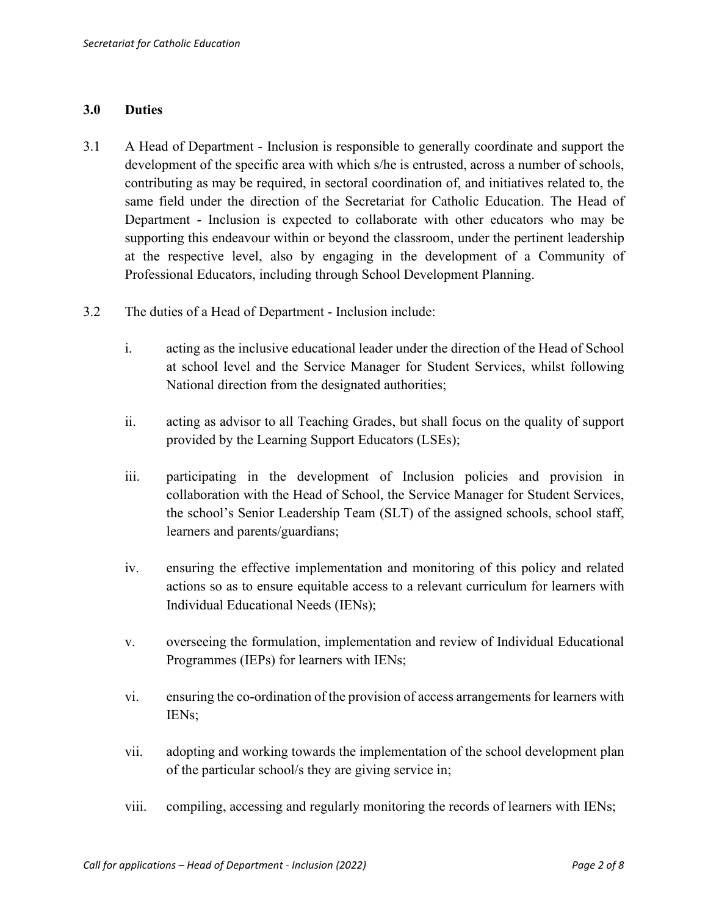#### **3.0 Duties**

- 3.1 A Head of Department Inclusion is responsible to generally coordinate and support the development of the specific area with which s/he is entrusted, across a number of schools, contributing as may be required, in sectoral coordination of, and initiatives related to, the same field under the direction of the Secretariat for Catholic Education. The Head of Department - Inclusion is expected to collaborate with other educators who may be supporting this endeavour within or beyond the classroom, under the pertinent leadership at the respective level, also by engaging in the development of a Community of Professional Educators, including through School Development Planning.
- 3.2 The duties of a Head of Department Inclusion include:
	- i. acting as the inclusive educational leader under the direction of the Head of School at school level and the Service Manager for Student Services, whilst following National direction from the designated authorities;
	- ii. acting as advisor to all Teaching Grades, but shall focus on the quality of support provided by the Learning Support Educators (LSEs);
	- iii. participating in the development of Inclusion policies and provision in collaboration with the Head of School, the Service Manager for Student Services, the school's Senior Leadership Team (SLT) of the assigned schools, school staff, learners and parents/guardians;
	- iv. ensuring the effective implementation and monitoring of this policy and related actions so as to ensure equitable access to a relevant curriculum for learners with Individual Educational Needs (IENs);
	- v. overseeing the formulation, implementation and review of Individual Educational Programmes (IEPs) for learners with IENs;
	- vi. ensuring the co-ordination of the provision of access arrangements for learners with IENs;
	- vii. adopting and working towards the implementation of the school development plan of the particular school/s they are giving service in;
	- viii. compiling, accessing and regularly monitoring the records of learners with IENs;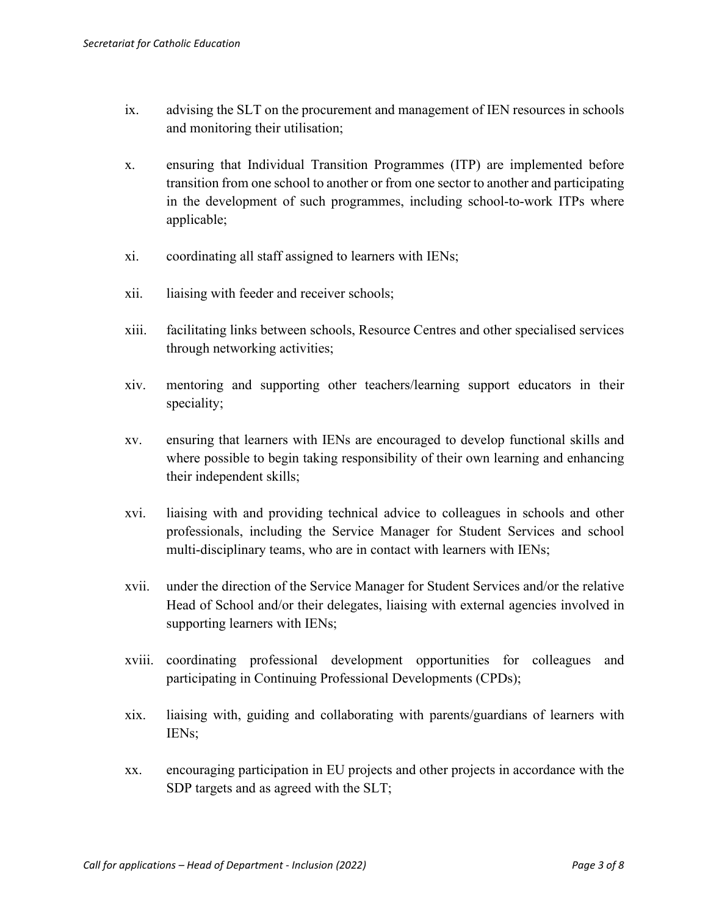- ix. advising the SLT on the procurement and management of IEN resources in schools and monitoring their utilisation;
- x. ensuring that Individual Transition Programmes (ITP) are implemented before transition from one school to another or from one sector to another and participating in the development of such programmes, including school-to-work ITPs where applicable;
- xi. coordinating all staff assigned to learners with IENs;
- xii. liaising with feeder and receiver schools;
- xiii. facilitating links between schools, Resource Centres and other specialised services through networking activities;
- xiv. mentoring and supporting other teachers/learning support educators in their speciality;
- xv. ensuring that learners with IENs are encouraged to develop functional skills and where possible to begin taking responsibility of their own learning and enhancing their independent skills;
- xvi. liaising with and providing technical advice to colleagues in schools and other professionals, including the Service Manager for Student Services and school multi-disciplinary teams, who are in contact with learners with IENs;
- xvii. under the direction of the Service Manager for Student Services and/or the relative Head of School and/or their delegates, liaising with external agencies involved in supporting learners with IENs;
- xviii. coordinating professional development opportunities for colleagues and participating in Continuing Professional Developments (CPDs);
- xix. liaising with, guiding and collaborating with parents/guardians of learners with IENs;
- xx. encouraging participation in EU projects and other projects in accordance with the SDP targets and as agreed with the SLT;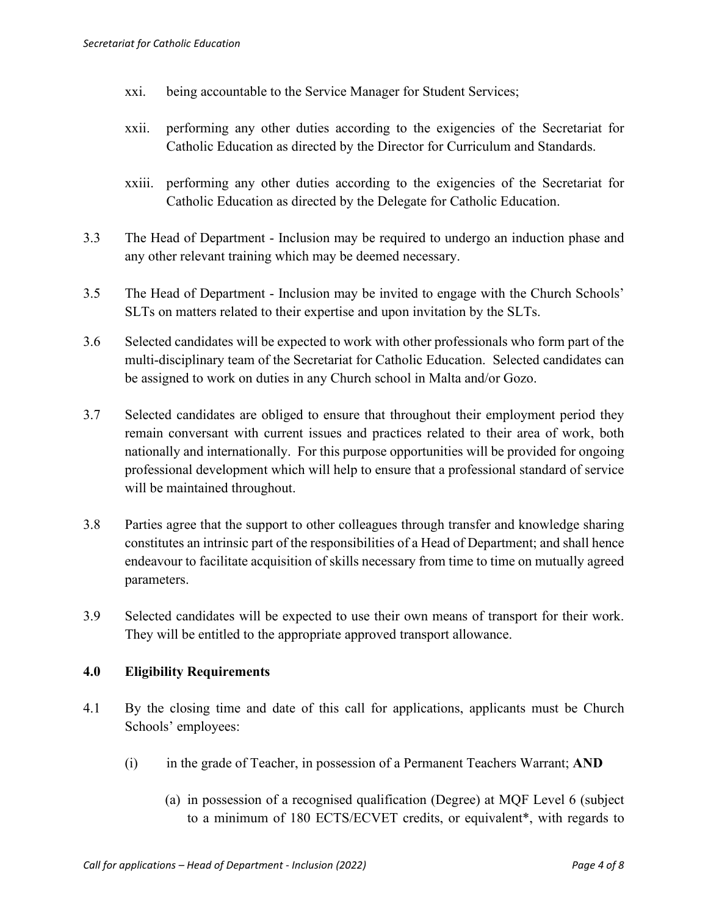- xxi. being accountable to the Service Manager for Student Services;
- xxii. performing any other duties according to the exigencies of the Secretariat for Catholic Education as directed by the Director for Curriculum and Standards.
- xxiii. performing any other duties according to the exigencies of the Secretariat for Catholic Education as directed by the Delegate for Catholic Education.
- 3.3 The Head of Department Inclusion may be required to undergo an induction phase and any other relevant training which may be deemed necessary.
- 3.5 The Head of Department Inclusion may be invited to engage with the Church Schools' SLTs on matters related to their expertise and upon invitation by the SLTs.
- 3.6 Selected candidates will be expected to work with other professionals who form part of the multi-disciplinary team of the Secretariat for Catholic Education. Selected candidates can be assigned to work on duties in any Church school in Malta and/or Gozo.
- 3.7 Selected candidates are obliged to ensure that throughout their employment period they remain conversant with current issues and practices related to their area of work, both nationally and internationally. For this purpose opportunities will be provided for ongoing professional development which will help to ensure that a professional standard of service will be maintained throughout.
- 3.8 Parties agree that the support to other colleagues through transfer and knowledge sharing constitutes an intrinsic part of the responsibilities of a Head of Department; and shall hence endeavour to facilitate acquisition of skills necessary from time to time on mutually agreed parameters.
- 3.9 Selected candidates will be expected to use their own means of transport for their work. They will be entitled to the appropriate approved transport allowance.

#### **4.0 Eligibility Requirements**

- 4.1 By the closing time and date of this call for applications, applicants must be Church Schools' employees:
	- (i) in the grade of Teacher, in possession of a Permanent Teachers Warrant; **AND**
		- (a) in possession of a recognised qualification (Degree) at MQF Level 6 (subject to a minimum of 180 ECTS/ECVET credits, or equivalent\*, with regards to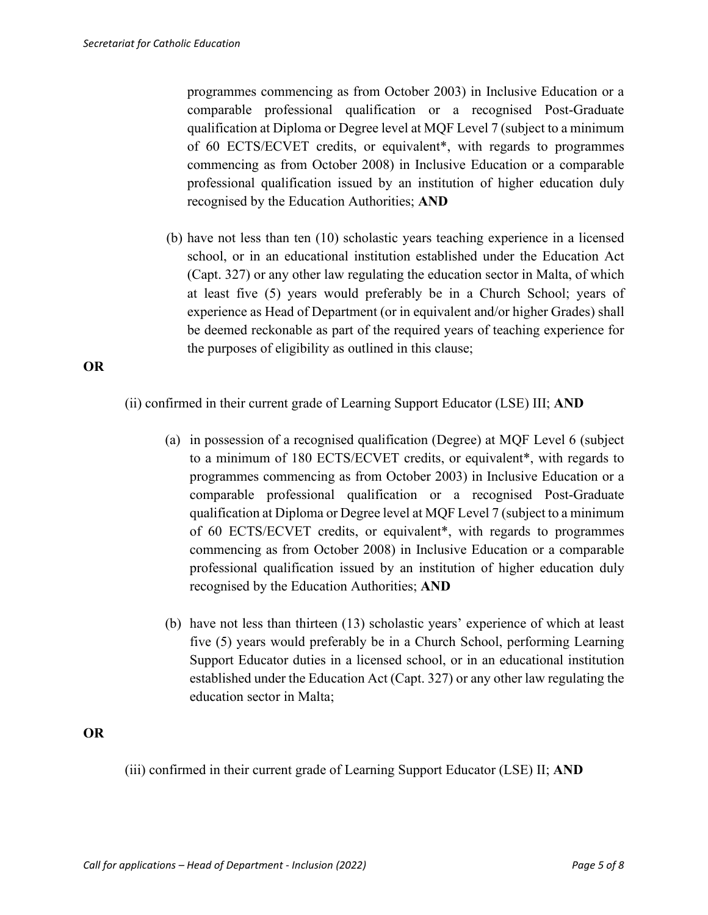programmes commencing as from October 2003) in Inclusive Education or a comparable professional qualification or a recognised Post-Graduate qualification at Diploma or Degree level at MQF Level 7 (subject to a minimum of 60 ECTS/ECVET credits, or equivalent\*, with regards to programmes commencing as from October 2008) in Inclusive Education or a comparable professional qualification issued by an institution of higher education duly recognised by the Education Authorities; **AND** 

(b) have not less than ten (10) scholastic years teaching experience in a licensed school, or in an educational institution established under the Education Act (Capt. 327) or any other law regulating the education sector in Malta, of which at least five (5) years would preferably be in a Church School; years of experience as Head of Department (or in equivalent and/or higher Grades) shall be deemed reckonable as part of the required years of teaching experience for the purposes of eligibility as outlined in this clause;

**OR**

(ii) confirmed in their current grade of Learning Support Educator (LSE) III; **AND**

- (a) in possession of a recognised qualification (Degree) at MQF Level 6 (subject to a minimum of 180 ECTS/ECVET credits, or equivalent\*, with regards to programmes commencing as from October 2003) in Inclusive Education or a comparable professional qualification or a recognised Post-Graduate qualification at Diploma or Degree level at MQF Level 7 (subject to a minimum of 60 ECTS/ECVET credits, or equivalent\*, with regards to programmes commencing as from October 2008) in Inclusive Education or a comparable professional qualification issued by an institution of higher education duly recognised by the Education Authorities; **AND**
- (b) have not less than thirteen (13) scholastic years' experience of which at least five (5) years would preferably be in a Church School, performing Learning Support Educator duties in a licensed school, or in an educational institution established under the Education Act (Capt. 327) or any other law regulating the education sector in Malta;

**OR**

(iii) confirmed in their current grade of Learning Support Educator (LSE) II; **AND**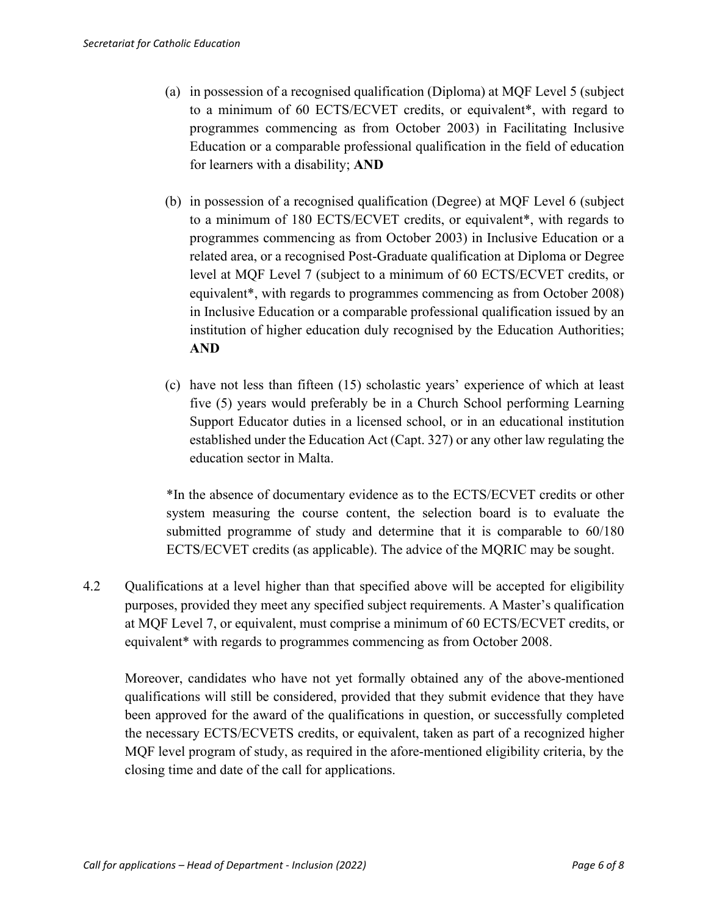- (a) in possession of a recognised qualification (Diploma) at MQF Level 5 (subject to a minimum of 60 ECTS/ECVET credits, or equivalent\*, with regard to programmes commencing as from October 2003) in Facilitating Inclusive Education or a comparable professional qualification in the field of education for learners with a disability; **AND**
- (b) in possession of a recognised qualification (Degree) at MQF Level 6 (subject to a minimum of 180 ECTS/ECVET credits, or equivalent\*, with regards to programmes commencing as from October 2003) in Inclusive Education or a related area, or a recognised Post-Graduate qualification at Diploma or Degree level at MQF Level 7 (subject to a minimum of 60 ECTS/ECVET credits, or equivalent\*, with regards to programmes commencing as from October 2008) in Inclusive Education or a comparable professional qualification issued by an institution of higher education duly recognised by the Education Authorities; **AND**
- (c) have not less than fifteen (15) scholastic years' experience of which at least five (5) years would preferably be in a Church School performing Learning Support Educator duties in a licensed school, or in an educational institution established under the Education Act (Capt. 327) or any other law regulating the education sector in Malta.

\*In the absence of documentary evidence as to the ECTS/ECVET credits or other system measuring the course content, the selection board is to evaluate the submitted programme of study and determine that it is comparable to 60/180 ECTS/ECVET credits (as applicable). The advice of the MQRIC may be sought.

4.2 Qualifications at a level higher than that specified above will be accepted for eligibility purposes, provided they meet any specified subject requirements. A Master's qualification at MQF Level 7, or equivalent, must comprise a minimum of 60 ECTS/ECVET credits, or equivalent\* with regards to programmes commencing as from October 2008.

Moreover, candidates who have not yet formally obtained any of the above-mentioned qualifications will still be considered, provided that they submit evidence that they have been approved for the award of the qualifications in question, or successfully completed the necessary ECTS/ECVETS credits, or equivalent, taken as part of a recognized higher MQF level program of study, as required in the afore-mentioned eligibility criteria, by the closing time and date of the call for applications.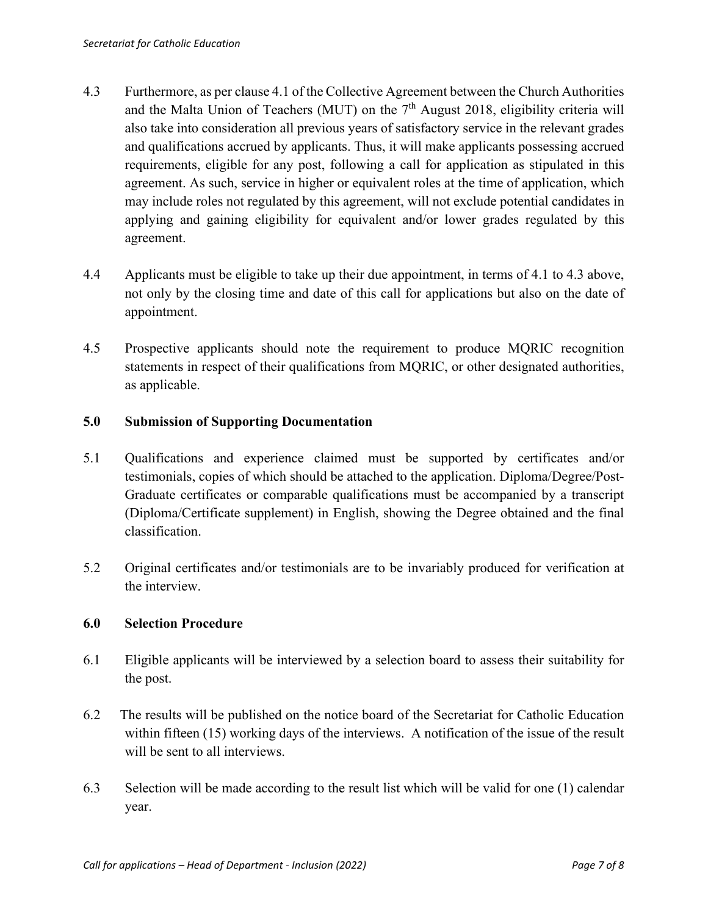- 4.3 Furthermore, as per clause 4.1 of the Collective Agreement between the Church Authorities and the Malta Union of Teachers (MUT) on the  $7<sup>th</sup>$  August 2018, eligibility criteria will also take into consideration all previous years of satisfactory service in the relevant grades and qualifications accrued by applicants. Thus, it will make applicants possessing accrued requirements, eligible for any post, following a call for application as stipulated in this agreement. As such, service in higher or equivalent roles at the time of application, which may include roles not regulated by this agreement, will not exclude potential candidates in applying and gaining eligibility for equivalent and/or lower grades regulated by this agreement.
- 4.4 Applicants must be eligible to take up their due appointment, in terms of 4.1 to 4.3 above, not only by the closing time and date of this call for applications but also on the date of appointment.
- 4.5 Prospective applicants should note the requirement to produce MQRIC recognition statements in respect of their qualifications from MQRIC, or other designated authorities, as applicable.

### **5.0 Submission of Supporting Documentation**

- 5.1 Qualifications and experience claimed must be supported by certificates and/or testimonials, copies of which should be attached to the application. Diploma/Degree/Post-Graduate certificates or comparable qualifications must be accompanied by a transcript (Diploma/Certificate supplement) in English, showing the Degree obtained and the final classification.
- 5.2 Original certificates and/or testimonials are to be invariably produced for verification at the interview.

#### **6.0 Selection Procedure**

- 6.1 Eligible applicants will be interviewed by a selection board to assess their suitability for the post.
- 6.2 The results will be published on the notice board of the Secretariat for Catholic Education within fifteen (15) working days of the interviews. A notification of the issue of the result will be sent to all interviews.
- 6.3 Selection will be made according to the result list which will be valid for one (1) calendar year.